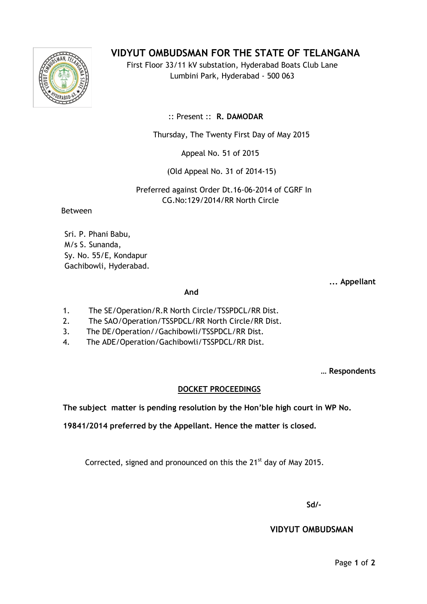## **VIDYUT OMBUDSMAN FOR THE STATE OF TELANGANA**

First Floor 33/11 kV substation, Hyderabad Boats Club Lane Lumbini Park, Hyderabad - 500 063

:: Present :: **R. DAMODAR**

Thursday, The Twenty First Day of May 2015

Appeal No. 51 of 2015

(Old Appeal No. 31 of 2014-15)

 Preferred against Order Dt.16-06-2014 of CGRF In CG.No:129/2014/RR North Circle

Between

Sri. P. Phani Babu, M/s S. Sunanda, Sy. No. 55/E, Kondapur Gachibowli, Hyderabad.

**... Appellant**

*And* 

- 1. The SE/Operation/R.R North Circle/TSSPDCL/RR Dist.
- 2. The SAO/Operation/TSSPDCL/RR North Circle/RR Dist.
- 3. 3. The DE/Operation//Gachibowli/TSSPDCL/RR Dist.
- 4. 4. The ADE/Operation/Gachibowli/TSSPDCL/RR Dist.

**… Respondents**

## **DOCKET PROCEEDINGS**

**The subject matter is pending resolution by the Hon'ble high court in WP No.** 

**19841/2014 preferred by the Appellant. Hence the matter is closed.**

Corrected, signed and pronounced on this the  $21<sup>st</sup>$  day of May 2015.

**Sd/-**

 **VIDYUT OMBUDSMAN**